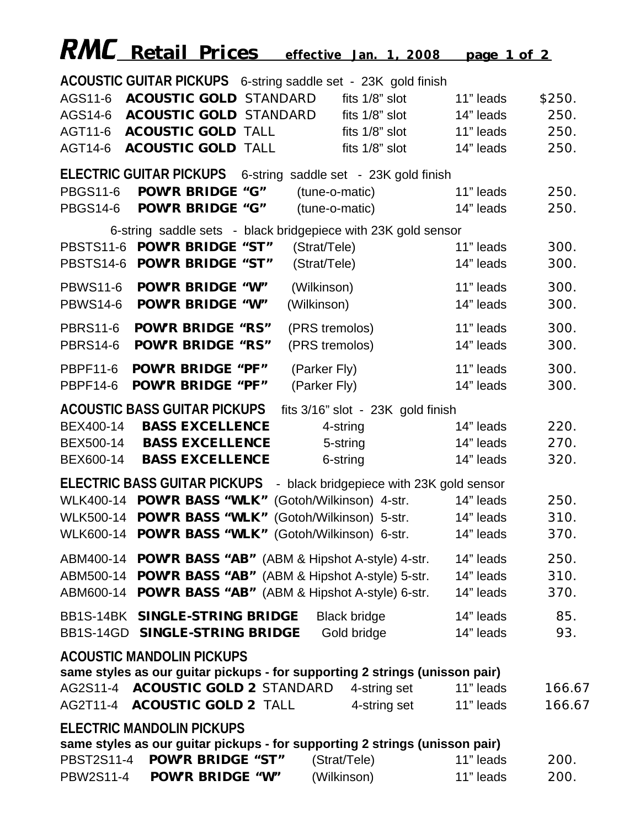|                 | <b>RMC</b> Retail Prices                                 |                        |                     | effective Jan. 1, 2008                                                      | <u>page 1 of 2</u> |        |
|-----------------|----------------------------------------------------------|------------------------|---------------------|-----------------------------------------------------------------------------|--------------------|--------|
|                 |                                                          |                        |                     | ACOUSTIC GUITAR PICKUPS 6-string saddle set - 23K gold finish               |                    |        |
| AGS11-6         | <b>ACOUSTIC GOLD STANDARD</b>                            |                        | fits 1/8" slot      |                                                                             | 11" leads          | \$250. |
|                 | AGS14-6 ACOUSTIC GOLD STANDARD                           |                        |                     | fits 1/8" slot                                                              | 14" leads          | 250.   |
|                 | AGT11-6 ACOUSTIC GOLD TALL                               |                        |                     | fits 1/8" slot                                                              | 11" leads          | 250.   |
|                 | AGT14-6 ACOUSTIC GOLD TALL                               |                        |                     | fits 1/8" slot                                                              | 14" leads          | 250.   |
|                 | <b>ELECTRIC GUITAR PICKUPS</b>                           |                        |                     | 6-string saddle set - 23K gold finish                                       |                    |        |
| <b>PBGS11-6</b> | <b>POW'R BRIDGE "G"</b>                                  |                        | (tune-o-matic)      |                                                                             | 11" leads          | 250.   |
|                 | PBGS14-6 POW'R BRIDGE "G"                                |                        | (tune-o-matic)      |                                                                             | 14" leads          | 250.   |
|                 |                                                          |                        |                     | 6-string saddle sets - black bridgepiece with 23K gold sensor               |                    |        |
|                 | PBSTS11-6 POW'R BRIDGE "ST"                              |                        | (Strat/Tele)        |                                                                             | 11" leads          | 300.   |
|                 | PBSTS14-6 POW'R BRIDGE "ST"                              |                        | (Strat/Tele)        |                                                                             | 14" leads          | 300.   |
| <b>PBWS11-6</b> | <b>POW'R BRIDGE "W"</b>                                  |                        | (Wilkinson)         |                                                                             | 11" leads          | 300.   |
| <b>PBWS14-6</b> | <b>POW'R BRIDGE "W"</b>                                  |                        | (Wilkinson)         |                                                                             | 14" leads          | 300.   |
| <b>PBRS11-6</b> | <b>POW'R BRIDGE "RS"</b>                                 |                        | (PRS tremolos)      |                                                                             | 11" leads          | 300.   |
| <b>PBRS14-6</b> | <b>POW'R BRIDGE "RS"</b>                                 |                        | (PRS tremolos)      |                                                                             | 14" leads          | 300.   |
| <b>PBPF11-6</b> | <b>POW'R BRIDGE "PF"</b>                                 |                        | (Parker Fly)        |                                                                             | 11" leads          | 300.   |
| <b>PBPF14-6</b> | <b>POW'R BRIDGE "PF"</b>                                 |                        | (Parker Fly)        |                                                                             | 14" leads          | 300.   |
|                 | <b>ACOUSTIC BASS GUITAR PICKUPS</b>                      |                        |                     | fits 3/16" slot - 23K gold finish                                           |                    |        |
| BEX400-14       |                                                          | <b>BASS EXCELLENCE</b> | 4-string            |                                                                             | 14" leads          | 220.   |
| BEX500-14       |                                                          | <b>BASS EXCELLENCE</b> | 5-string            |                                                                             | 14" leads          | 270.   |
| BEX600-14       |                                                          | <b>BASS EXCELLENCE</b> | 6-string            |                                                                             | 14" leads          | 320.   |
|                 | <b>ELECTRIC BASS GUITAR PICKUPS</b>                      |                        |                     | - black bridgepiece with 23K gold sensor                                    |                    |        |
|                 | WLK400-14 POW'R BASS "WLK"                               |                        |                     | (Gotoh/Wilkinson) 4-str.                                                    | 14" leads          | 250.   |
|                 | WLK500-14 POW'R BASS "WLK" (Gotoh/Wilkinson) 5-str.      |                        |                     |                                                                             | 14" leads          | 310.   |
|                 | WLK600-14 POW'R BASS "WLK" (Gotoh/Wilkinson) 6-str.      |                        |                     |                                                                             | 14" leads          | 370.   |
|                 | ABM400-14 POW'R BASS "AB" (ABM & Hipshot A-style) 4-str. |                        |                     |                                                                             | 14" leads          | 250.   |
|                 | ABM500-14 POW'R BASS "AB" (ABM & Hipshot A-style) 5-str. |                        |                     |                                                                             | 14" leads          | 310.   |
|                 | ABM600-14 POW'R BASS "AB" (ABM & Hipshot A-style) 6-str. |                        |                     |                                                                             | 14" leads          | 370.   |
|                 | BB1S-14BK SINGLE-STRING BRIDGE                           |                        | <b>Black bridge</b> |                                                                             | 14" leads          | 85.    |
|                 | BB1S-14GD SINGLE-STRING BRIDGE                           |                        | Gold bridge         |                                                                             | 14" leads          | 93.    |
|                 | <b>ACOUSTIC MANDOLIN PICKUPS</b>                         |                        |                     |                                                                             |                    |        |
|                 |                                                          |                        |                     | same styles as our guitar pickups - for supporting 2 strings (unisson pair) |                    |        |
|                 | AG2S11-4 ACOUSTIC GOLD 2 STANDARD                        |                        |                     | 4-string set                                                                | 11" leads          | 166.67 |
|                 | AG2T11-4 ACOUSTIC GOLD 2 TALL                            |                        |                     | 4-string set                                                                | 11" leads          | 166.67 |
|                 | <b>ELECTRIC MANDOLIN PICKUPS</b>                         |                        |                     |                                                                             |                    |        |
|                 |                                                          |                        |                     | same styles as our guitar pickups - for supporting 2 strings (unisson pair) |                    |        |
|                 | PBST2S11-4 POW'R BRIDGE "ST"                             |                        | (Strat/Tele)        |                                                                             | 11" leads          | 200.   |
|                 | PBW2S11-4 POW'R BRIDGE "W"                               |                        | (Wilkinson)         |                                                                             | 11" leads          | 200.   |